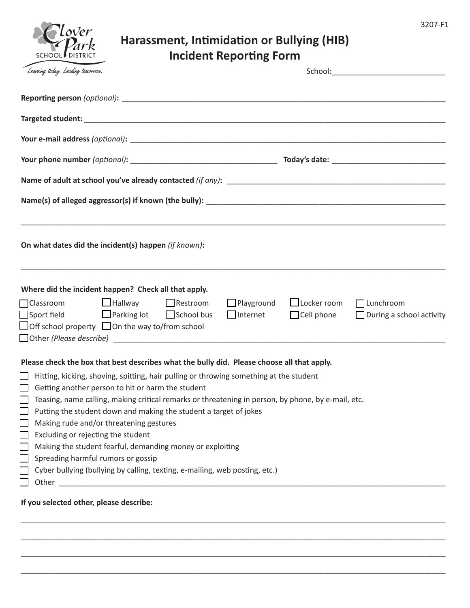| I<br>٧ |  |
|--------|--|
|--------|--|

## **Harassment, Intimidation or Bullying (HIB) Incident Reporting Form**

| Dark<br>SCHOOL DISTRICT                                                                                                                                                                                            | Harassment, Intimidation or Bullying (HIB)                                                                                                                                                                                                                                                                                                                                                                                                                                               | <b>Incident Reporting Form</b> |                    |                                                                        |
|--------------------------------------------------------------------------------------------------------------------------------------------------------------------------------------------------------------------|------------------------------------------------------------------------------------------------------------------------------------------------------------------------------------------------------------------------------------------------------------------------------------------------------------------------------------------------------------------------------------------------------------------------------------------------------------------------------------------|--------------------------------|--------------------|------------------------------------------------------------------------|
| Learning today. Leading tomorrow.                                                                                                                                                                                  |                                                                                                                                                                                                                                                                                                                                                                                                                                                                                          |                                |                    |                                                                        |
|                                                                                                                                                                                                                    |                                                                                                                                                                                                                                                                                                                                                                                                                                                                                          |                                |                    |                                                                        |
|                                                                                                                                                                                                                    |                                                                                                                                                                                                                                                                                                                                                                                                                                                                                          |                                |                    |                                                                        |
|                                                                                                                                                                                                                    |                                                                                                                                                                                                                                                                                                                                                                                                                                                                                          |                                |                    |                                                                        |
|                                                                                                                                                                                                                    |                                                                                                                                                                                                                                                                                                                                                                                                                                                                                          |                                |                    |                                                                        |
|                                                                                                                                                                                                                    |                                                                                                                                                                                                                                                                                                                                                                                                                                                                                          |                                |                    |                                                                        |
|                                                                                                                                                                                                                    |                                                                                                                                                                                                                                                                                                                                                                                                                                                                                          |                                |                    |                                                                        |
| On what dates did the incident(s) happen (if known):                                                                                                                                                               | <u> 1989 - Johann Stoff, amerikansk politiker (d. 1989)</u>                                                                                                                                                                                                                                                                                                                                                                                                                              |                                |                    |                                                                        |
| Where did the incident happen? Check all that apply.<br>□ Classroom □ Hallway □ Restroom<br>$\Box$ Sport field $\Box$ Parking lot $\Box$ School bus<br>$\Box$ Off school property $\Box$ On the way to/from school |                                                                                                                                                                                                                                                                                                                                                                                                                                                                                          | $\Box$ Playground              | $\Box$ Locker room | $\Box$ Lunchroom<br>□ Internet □ Cell phone □ During a school activity |
| Making rude and/or threatening gestures<br>Ξ<br>Excluding or rejecting the student<br>Spreading harmful rumors or gossip                                                                                           | Please check the box that best describes what the bully did. Please choose all that apply.<br>$\Box$ Hitting, kicking, shoving, spitting, hair pulling or throwing something at the student<br>Getting another person to hit or harm the student<br>Teasing, name calling, making critical remarks or threatening in person, by phone, by e-mail, etc.<br>Putting the student down and making the student a target of jokes<br>Making the student fearful, demanding money or exploiting |                                |                    |                                                                        |
|                                                                                                                                                                                                                    | Cyber bullying (bullying by calling, texting, e-mailing, web posting, etc.)                                                                                                                                                                                                                                                                                                                                                                                                              |                                |                    |                                                                        |

\_\_\_\_\_\_\_\_\_\_\_\_\_\_\_\_\_\_\_\_\_\_\_\_\_\_\_\_\_\_\_\_\_\_\_\_\_\_\_\_\_\_\_\_\_\_\_\_\_\_\_\_\_\_\_\_\_\_\_\_\_\_\_\_\_\_\_\_\_\_\_\_\_\_\_\_\_\_\_\_\_\_\_\_\_\_\_\_\_\_\_\_\_\_\_\_\_\_\_\_\_

\_\_\_\_\_\_\_\_\_\_\_\_\_\_\_\_\_\_\_\_\_\_\_\_\_\_\_\_\_\_\_\_\_\_\_\_\_\_\_\_\_\_\_\_\_\_\_\_\_\_\_\_\_\_\_\_\_\_\_\_\_\_\_\_\_\_\_\_\_\_\_\_\_\_\_\_\_\_\_\_\_\_\_\_\_\_\_\_\_\_\_\_\_\_\_\_\_\_\_\_\_

\_\_\_\_\_\_\_\_\_\_\_\_\_\_\_\_\_\_\_\_\_\_\_\_\_\_\_\_\_\_\_\_\_\_\_\_\_\_\_\_\_\_\_\_\_\_\_\_\_\_\_\_\_\_\_\_\_\_\_\_\_\_\_\_\_\_\_\_\_\_\_\_\_\_\_\_\_\_\_\_\_\_\_\_\_\_\_\_\_\_\_\_\_\_\_\_\_\_\_\_\_

\_\_\_\_\_\_\_\_\_\_\_\_\_\_\_\_\_\_\_\_\_\_\_\_\_\_\_\_\_\_\_\_\_\_\_\_\_\_\_\_\_\_\_\_\_\_\_\_\_\_\_\_\_\_\_\_\_\_\_\_\_\_\_\_\_\_\_\_\_\_\_\_\_\_\_\_\_\_\_\_\_\_\_\_\_\_\_\_\_\_\_\_\_\_\_\_\_\_\_\_\_

**If you selected other, please describe:**

lover